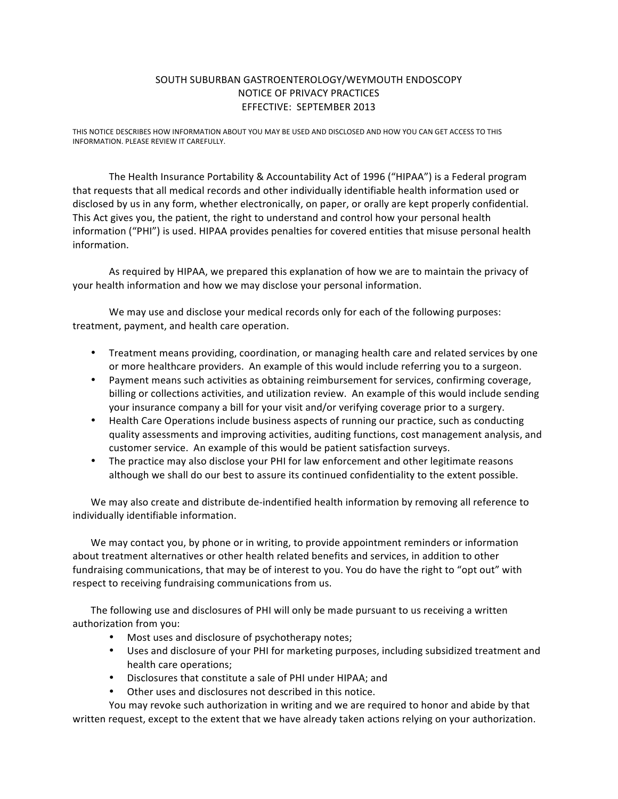## SOUTH SUBURBAN GASTROENTEROLOGY/WEYMOUTH ENDOSCOPY NOTICE OF PRIVACY PRACTICES EFFECTIVE: SEPTEMBER 2013

THIS NOTICE DESCRIBES HOW INFORMATION ABOUT YOU MAY BE USED AND DISCLOSED AND HOW YOU CAN GET ACCESS TO THIS INFORMATION. PLEASE REVIEW IT CAREFULLY.

The Health Insurance Portability & Accountability Act of 1996 ("HIPAA") is a Federal program that requests that all medical records and other individually identifiable health information used or disclosed by us in any form, whether electronically, on paper, or orally are kept properly confidential. This Act gives you, the patient, the right to understand and control how your personal health information ("PHI") is used. HIPAA provides penalties for covered entities that misuse personal health information.

As required by HIPAA, we prepared this explanation of how we are to maintain the privacy of your health information and how we may disclose your personal information.

We may use and disclose your medical records only for each of the following purposes: treatment, payment, and health care operation.

- Treatment means providing, coordination, or managing health care and related services by one or more healthcare providers. An example of this would include referring you to a surgeon.
- Payment means such activities as obtaining reimbursement for services, confirming coverage, billing or collections activities, and utilization review. An example of this would include sending your insurance company a bill for your visit and/or verifying coverage prior to a surgery.
- Health Care Operations include business aspects of running our practice, such as conducting quality assessments and improving activities, auditing functions, cost management analysis, and customer service. An example of this would be patient satisfaction surveys.
- The practice may also disclose your PHI for law enforcement and other legitimate reasons although we shall do our best to assure its continued confidentiality to the extent possible.

We may also create and distribute de-indentified health information by removing all reference to individually identifiable information.

We may contact you, by phone or in writing, to provide appointment reminders or information about treatment alternatives or other health related benefits and services, in addition to other fundraising communications, that may be of interest to you. You do have the right to "opt out" with respect to receiving fundraising communications from us.

The following use and disclosures of PHI will only be made pursuant to us receiving a written authorization from you:

- Most uses and disclosure of psychotherapy notes;
- Uses and disclosure of your PHI for marketing purposes, including subsidized treatment and health care operations;
- Disclosures that constitute a sale of PHI under HIPAA; and
- Other uses and disclosures not described in this notice.

You may revoke such authorization in writing and we are required to honor and abide by that written request, except to the extent that we have already taken actions relying on your authorization.